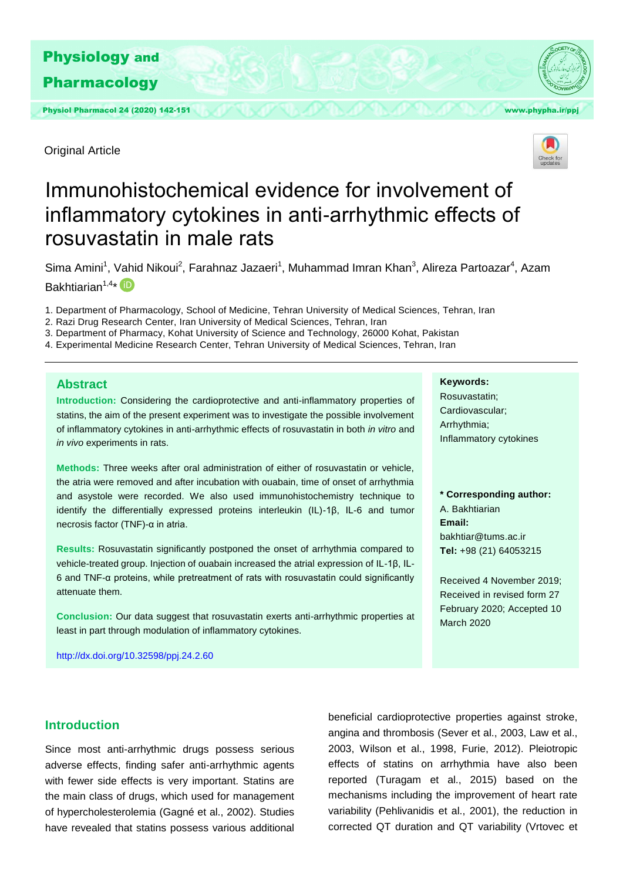

Physiol Pharmacol 24 (2020) 142-151 With the United States of the United States of the With With Wave, phypha.ir/ppj

Original Article



# Immunohistochemical evidence for involvement of inflammatory cytokines in anti-arrhythmic effects of rosuvastatin in male rats

Sima Amini<sup>1</sup>, Vahid Nikoui<sup>2</sup>, Farahnaz Jazaeri<sup>1</sup>, Muhammad Imran Khan<sup>3</sup>, Alireza Partoazar<sup>4</sup>, Azam Bakhtiarian<sup>1,4\*</sup>

- 1. Department of Pharmacology, School of Medicine, Tehran University of Medical Sciences, Tehran, Iran
- 2. Razi Drug Research Center, Iran University of Medical Sciences, Tehran, Iran
- 3. Department of Pharmacy, Kohat University of Science and Technology, 26000 Kohat, Pakistan
- 4. Experimental Medicine Research Center, Tehran University of Medical Sciences, Tehran, Iran

## **Abstract**

**Introduction:** Considering the cardioprotective and anti-inflammatory properties of statins, the aim of the present experiment was to investigate the possible involvement of inflammatory cytokines in anti-arrhythmic effects of rosuvastatin in both *in vitro* and *in vivo* experiments in rats.

**Methods:** Three weeks after oral administration of either of rosuvastatin or vehicle, the atria were removed and after incubation with ouabain, time of onset of arrhythmia and asystole were recorded. We also used immunohistochemistry technique to identify the differentially expressed proteins interleukin (IL)-1β, IL-6 and tumor necrosis factor (TNF)-α in atria.

**Results:** Rosuvastatin significantly postponed the onset of arrhythmia compared to vehicle-treated group. Injection of ouabain increased the atrial expression of IL-1β, IL-6 and TNF-α proteins, while pretreatment of rats with rosuvastatin could significantly attenuate them.

**Conclusion:** Our data suggest that rosuvastatin exerts anti-arrhythmic properties at least in part through modulation of inflammatory cytokines.

<http://dx.doi.org/10.32598/ppj.24.2.60>

## **Keywords:**

Rosuvastatin; Cardiovascular; Arrhythmia; Inflammatory cytokines

**\* Corresponding author:**  A. Bakhtiarian **Email:**  bakhtiar@tums.ac.ir **Tel:** +98 (21) 64053215

Received 4 November 2019; Received in revised form 27 February 2020; Accepted 10 March 2020

# **Introduction**

Since most anti-arrhythmic drugs possess serious adverse effects, finding safer anti-arrhythmic agents with fewer side effects is very important. Statins are the main class of drugs, which used for management of hypercholesterolemia (Gagné et al., 2002). Studies have revealed that statins possess various additional beneficial cardioprotective properties against stroke, angina and thrombosis (Sever et al., 2003, Law et al., 2003, Wilson et al., 1998, Furie, 2012). Pleiotropic effects of statins on arrhythmia have also been reported (Turagam et al., 2015) based on the mechanisms including the improvement of heart rate variability (Pehlivanidis et al., 2001), the reduction in corrected QT duration and QT variability (Vrtovec et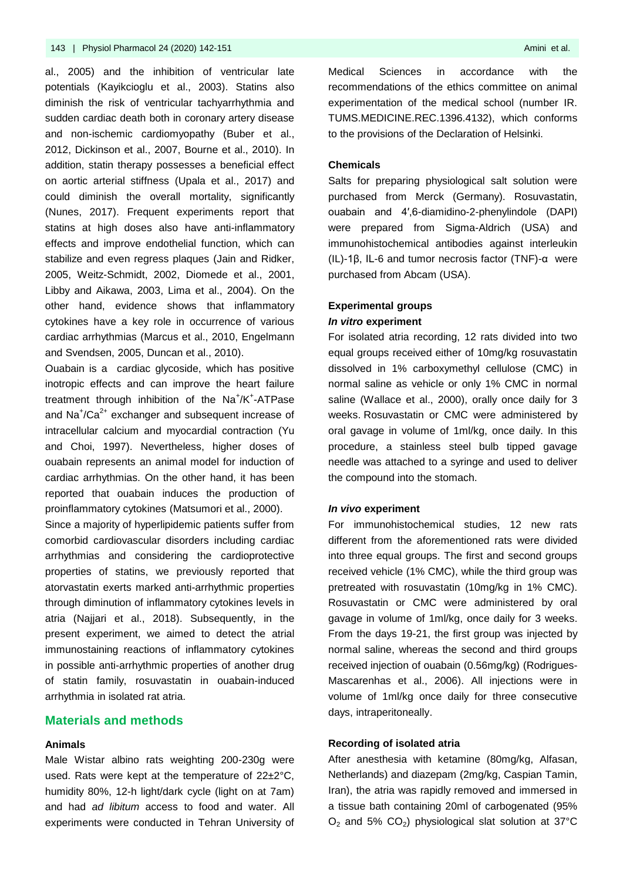al., 2005) and the inhibition of ventricular late potentials (Kayikcioglu et al., 2003). Statins also diminish the risk of ventricular tachyarrhythmia and sudden cardiac death both in coronary artery disease and non-ischemic cardiomyopathy (Buber et al., 2012, Dickinson et al., 2007, Bourne et al., 2010). In addition, statin therapy possesses a beneficial effect on aortic arterial stiffness (Upala et al., 2017) and could diminish the overall mortality, significantly (Nunes, 2017). Frequent experiments report that statins at high doses also have anti-inflammatory effects and improve endothelial function, which can stabilize and even regress plaques (Jain and Ridker, 2005, Weitz-Schmidt, 2002, Diomede et al., 2001, Libby and Aikawa, 2003, Lima et al., 2004). On the other hand, evidence shows that inflammatory cytokines have a key role in occurrence of various cardiac arrhythmias (Marcus et al., 2010, Engelmann and Svendsen, 2005, Duncan et al., 2010).

Ouabain is a cardiac glycoside, which has positive inotropic effects and can improve the heart failure treatment through inhibition of the Na<sup>+</sup>/K<sup>+</sup>-ATPase and  $\text{Na}^{\ddag}/\text{Ca}^{2+}$  exchanger and subsequent increase of intracellular calcium and myocardial contraction (Yu and Choi, 1997). Nevertheless, higher doses of ouabain represents an animal model for induction of cardiac arrhythmias. On the other hand, it has been reported that ouabain induces the production of proinflammatory cytokines (Matsumori et al., 2000).

Since a majority of hyperlipidemic patients suffer from comorbid cardiovascular disorders including cardiac arrhythmias and considering the cardioprotective properties of statins, we previously reported that atorvastatin exerts marked anti-arrhythmic properties through diminution of inflammatory cytokines levels in atria (Najjari et al., 2018). Subsequently, in the present experiment, we aimed to detect the atrial immunostaining reactions of inflammatory cytokines in possible anti-arrhythmic properties of another drug of statin family, rosuvastatin in ouabain-induced arrhythmia in isolated rat atria.

## **Materials and methods**

#### **Animals**

Male Wistar albino rats weighting 200-230g were used. Rats were kept at the temperature of 22±2°C, humidity 80%, 12-h light/dark cycle (light on at 7am) and had *ad libitum* access to food and water. All experiments were conducted in Tehran University of Medical Sciences in accordance with the recommendations of the ethics committee on animal experimentation of the medical school (number IR. TUMS.MEDICINE.REC.1396.4132), which conforms to the provisions of the Declaration of Helsinki.

#### **Chemicals**

Salts for preparing physiological salt solution were purchased from Merck (Germany). Rosuvastatin, ouabain and 4′,6-diamidino-2-phenylindole (DAPI) were prepared from Sigma-Aldrich (USA) and immunohistochemical antibodies against interleukin (IL)-1β, IL-6 and tumor necrosis factor (TNF)-α were purchased from Abcam (USA).

# **Experimental groups** *In vitro* **experiment**

For isolated atria recording, 12 rats divided into two equal groups received either of 10mg/kg rosuvastatin dissolved in 1% carboxymethyl cellulose (CMC) in normal saline as vehicle or only 1% CMC in normal saline (Wallace et al., 2000), orally once daily for 3 weeks. Rosuvastatin or CMC were administered by oral gavage in volume of 1ml/kg, once daily. In this procedure, a stainless steel bulb tipped gavage needle was attached to a syringe and used to deliver the compound into the stomach.

#### *In vivo* **experiment**

For immunohistochemical studies, 12 new rats different from the aforementioned rats were divided into three equal groups. The first and second groups received vehicle (1% CMC), while the third group was pretreated with rosuvastatin (10mg/kg in 1% CMC). Rosuvastatin or CMC were administered by oral gavage in volume of 1ml/kg, once daily for 3 weeks. From the days 19-21, the first group was injected by normal saline, whereas the second and third groups received injection of ouabain (0.56mg/kg) (Rodrigues-Mascarenhas et al., 2006). All injections were in volume of 1ml/kg once daily for three consecutive days, intraperitoneally.

### **Recording of isolated atria**

After anesthesia with ketamine (80mg/kg, Alfasan, Netherlands) and diazepam (2mg/kg, Caspian Tamin, Iran), the atria was rapidly removed and immersed in a tissue bath containing 20ml of carbogenated (95%  $O_2$  and 5%  $CO_2$ ) physiological slat solution at 37°C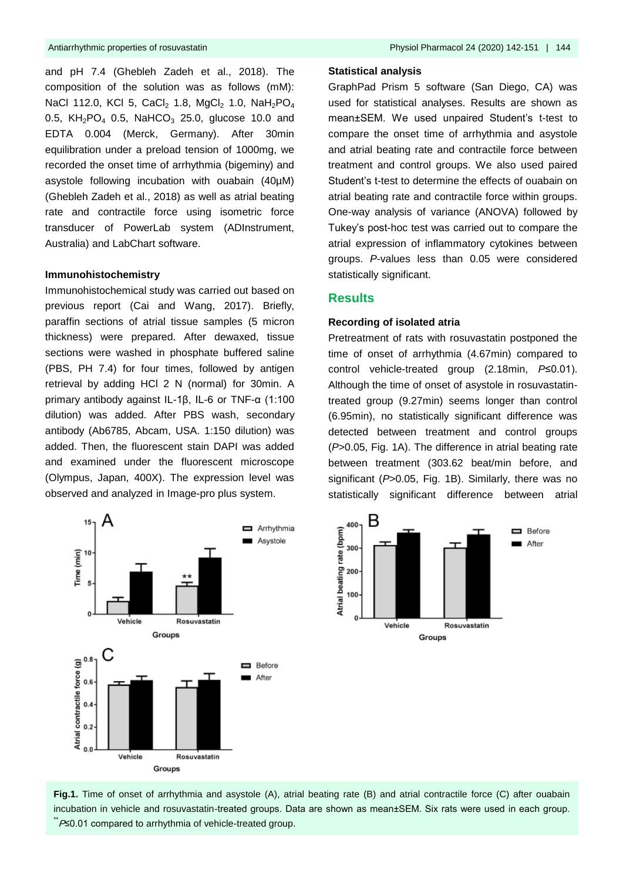and pH 7.4 (Ghebleh Zadeh et al., 2018). The composition of the solution was as follows (mM): NaCl 112.0, KCl 5, CaCl<sub>2</sub> 1.8, MgCl<sub>2</sub> 1.0, NaH<sub>2</sub>PO<sub>4</sub> 0.5,  $KH_2PO_4$  0.5, NaHCO<sub>3</sub> 25.0, glucose 10.0 and EDTA 0.004 (Merck, Germany). After 30min equilibration under a preload tension of 1000mg, we recorded the onset time of arrhythmia (bigeminy) and asystole following incubation with ouabain (40µM) (Ghebleh Zadeh et al., 2018) as well as atrial beating rate and contractile force using isometric force transducer of PowerLab system (ADInstrument, Australia) and LabChart software.

#### **Immunohistochemistry**

Immunohistochemical study was carried out based on previous report (Cai and Wang, 2017). Briefly, paraffin sections of atrial tissue samples (5 micron thickness) were prepared. After dewaxed, tissue sections were washed in phosphate buffered saline (PBS, PH 7.4) for four times, followed by antigen retrieval by adding HCl 2 N (normal) for 30min. A primary antibody against IL-1β, IL-6 or TNF-α (1:100 dilution) was added. After PBS wash, secondary antibody (Ab6785, Abcam, USA. 1:150 dilution) was added. Then, the fluorescent stain DAPI was added and examined under the fluorescent microscope (Olympus, Japan, 400X). The expression level was observed and analyzed in Image-pro plus system.

#### **Statistical analysis**

GraphPad Prism 5 software (San Diego, CA) was used for statistical analyses. Results are shown as mean±SEM. We used unpaired Student's t-test to compare the onset time of arrhythmia and asystole and atrial beating rate and contractile force between treatment and control groups. We also used paired Student's t-test to determine the effects of ouabain on atrial beating rate and contractile force within groups. One-way analysis of variance (ANOVA) followed by Tukey's post-hoc test was carried out to compare the atrial expression of inflammatory cytokines between groups. *P*-values less than 0.05 were considered statistically significant.

## **Results**

#### **Recording of isolated atria**

Pretreatment of rats with rosuvastatin postponed the time of onset of arrhythmia (4.67min) compared to control vehicle-treated group (2.18min, *P*≤0.01). Although the time of onset of asystole in rosuvastatintreated group (9.27min) seems longer than control (6.95min), no statistically significant difference was detected between treatment and control groups (*P*>0.05, Fig. 1A). The difference in atrial beating rate between treatment (303.62 beat/min before, and significant (*P*>0.05, Fig. 1B). Similarly, there was no statistically significant difference between atrial

After





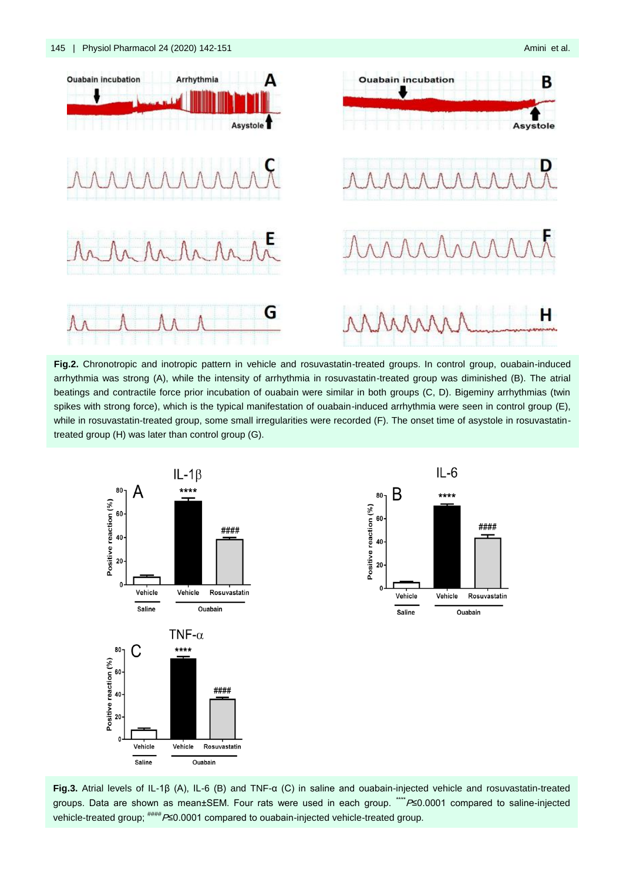

**Fig.2.** Chronotropic and inotropic pattern in vehicle and rosuvastatin-treated groups. In control group, ouabain-induced arrhythmia was strong (A), while the intensity of arrhythmia in rosuvastatin-treated group was diminished (B). The atrial beatings and contractile force prior incubation of ouabain were similar in both groups (C, D). Bigeminy arrhythmias (twin spikes with strong force), which is the typical manifestation of ouabain-induced arrhythmia were seen in control group (E), while in rosuvastatin-treated group, some small irregularities were recorded (F). The onset time of asystole in rosuvastatintreated group (H) was later than control group (G).





**Fig.3.** Atrial levels of IL-1β (A), IL-6 (B) and TNF-α (C) in saline and ouabain-injected vehicle and rosuvastatin-treated groups. Data are shown as mean±SEM. Four rats were used in each group. \*\*\*P≤0.0001 compared to saline-injected vehicle-treated group; #### P≤0.0001 compared to ouabain-injected vehicle-treated group.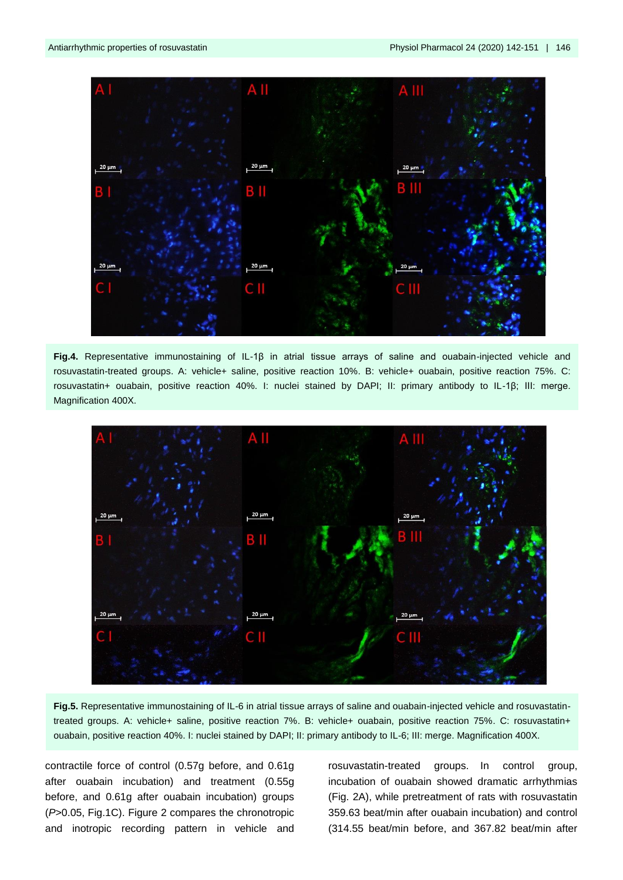

**Fig.4.** Representative immunostaining of IL-1β in atrial tissue arrays of saline and ouabain-injected vehicle and rosuvastatin-treated groups. A: vehicle+ saline, positive reaction 10%. B: vehicle+ ouabain, positive reaction 75%. C: rosuvastatin+ ouabain, positive reaction 40%. I: nuclei stained by DAPI; II: primary antibody to IL-1β; III: merge. Magnification 400X.



**Fig.5.** Representative immunostaining of IL-6 in atrial tissue arrays of saline and ouabain-injected vehicle and rosuvastatintreated groups. A: vehicle+ saline, positive reaction 7%. B: vehicle+ ouabain, positive reaction 75%. C: rosuvastatin+ ouabain, positive reaction 40%. I: nuclei stained by DAPI; II: primary antibody to IL-6; III: merge. Magnification 400X.

contractile force of control (0.57g before, and 0.61g after ouabain incubation) and treatment (0.55g before, and 0.61g after ouabain incubation) groups (*P*>0.05, Fig.1C). Figure 2 compares the chronotropic and inotropic recording pattern in vehicle and

rosuvastatin-treated groups. In control group, incubation of ouabain showed dramatic arrhythmias (Fig. 2A), while pretreatment of rats with rosuvastatin 359.63 beat/min after ouabain incubation) and control (314.55 beat/min before, and 367.82 beat/min after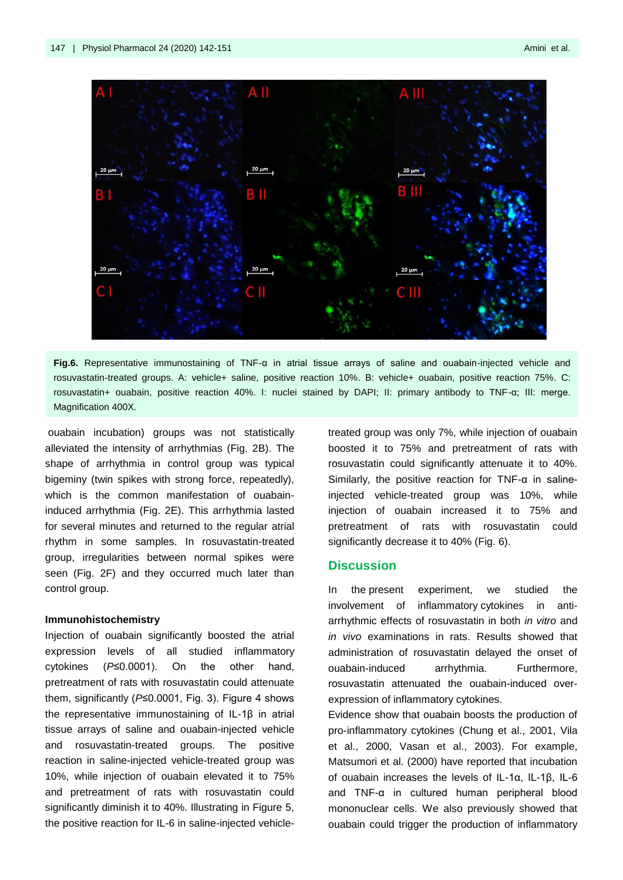

**Fig.6.** Representative immunostaining of TNF-α in atrial tissue arrays of saline and ouabain-injected vehicle and rosuvastatin-treated groups. A: vehicle+ saline, positive reaction 10%. B: vehicle+ ouabain, positive reaction 75%. C: rosuvastatin+ ouabain, positive reaction 40%. I: nuclei stained by DAPI; II: primary antibody to TNF-α; III: merge. Magnification 400X.

ouabain incubation) groups was not statistically alleviated the intensity of arrhythmias (Fig. 2B). The shape of arrhythmia in control group was typical bigeminy (twin spikes with strong force, repeatedly), which is the common manifestation of ouabaininduced arrhythmia (Fig. 2E). This arrhythmia lasted for several minutes and returned to the regular atrial rhythm in some samples. In rosuvastatin-treated group, irregularities between normal spikes were seen (Fig. 2F) and they occurred much later than control group.

#### **Immunohistochemistry**

Injection of ouabain significantly boosted the atrial expression levels of all studied inflammatory cytokines (*P*≤0.0001). On the other hand, pretreatment of rats with rosuvastatin could attenuate them, significantly (*P*≤0.0001, Fig. 3). Figure 4 shows the representative immunostaining of IL-1β in atrial tissue arrays of saline and ouabain-injected vehicle and rosuvastatin-treated groups. The positive reaction in saline-injected vehicle-treated group was 10%, while injection of ouabain elevated it to 75% and pretreatment of rats with rosuvastatin could significantly diminish it to 40%. Illustrating in Figure 5, the positive reaction for IL-6 in saline-injected vehicletreated group was only 7%, while injection of ouabain boosted it to 75% and pretreatment of rats with rosuvastatin could significantly attenuate it to 40%. Similarly, the positive reaction for TNF-α in salineinjected vehicle-treated group was 10%, while injection of ouabain increased it to 75% and pretreatment of rats with rosuvastatin could significantly decrease it to 40% (Fig. 6).

## **Discussion**

In the present experiment, we studied the involvement of inflammatory cytokines in antiarrhythmic effects of rosuvastatin in both *in vitro* and *in vivo* examinations in rats. Results showed that administration of rosuvastatin delayed the onset of ouabain-induced arrhythmia. Furthermore, rosuvastatin attenuated the ouabain-induced overexpression of inflammatory cytokines.

Evidence show that ouabain boosts the production of pro-inflammatory cytokines (Chung et al., 2001, Vila et al., 2000, Vasan et al., 2003). For example, Matsumori et al. (2000) have reported that incubation of ouabain increases the levels of IL-1α, IL-1β, IL-6 and TNF-α in cultured human peripheral blood mononuclear cells. We also previously showed that ouabain could trigger the production of inflammatory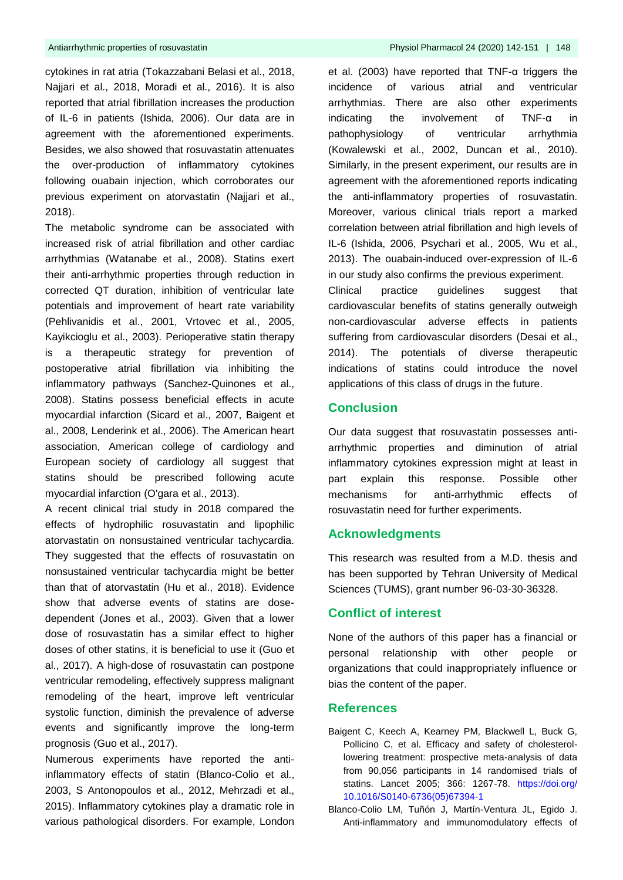cytokines in rat atria (Tokazzabani Belasi et al., 2018, Najjari et al., 2018, Moradi et al., 2016). It is also reported that atrial fibrillation increases the production of IL-6 in patients (Ishida, 2006). Our data are in agreement with the aforementioned experiments. Besides, we also showed that rosuvastatin attenuates the over-production of inflammatory cytokines following ouabain injection, which corroborates our previous experiment on atorvastatin (Najjari et al., 2018).

The metabolic syndrome can be associated with increased risk of atrial fibrillation and other cardiac arrhythmias (Watanabe et al., 2008). Statins exert their anti-arrhythmic properties through reduction in corrected QT duration, inhibition of ventricular late potentials and improvement of heart rate variability (Pehlivanidis et al., 2001, Vrtovec et al., 2005, Kayikcioglu et al., 2003). Perioperative statin therapy is a therapeutic strategy for prevention of postoperative atrial fibrillation via inhibiting the inflammatory pathways (Sanchez-Quinones et al., 2008). Statins possess beneficial effects in acute myocardial infarction (Sicard et al., 2007, Baigent et al., 2008, Lenderink et al., 2006). The American heart association, American college of cardiology and European society of cardiology all suggest that statins should be prescribed following acute myocardial infarction (O'gara et al., 2013).

A recent clinical trial study in 2018 compared the effects of hydrophilic rosuvastatin and lipophilic atorvastatin on nonsustained ventricular tachycardia. They suggested that the effects of rosuvastatin on nonsustained ventricular tachycardia might be better than that of atorvastatin (Hu et al., 2018). Evidence show that adverse events of statins are dosedependent (Jones et al., 2003). Given that a lower dose of rosuvastatin has a similar effect to higher doses of other statins, it is beneficial to use it (Guo et al., 2017). A high-dose of rosuvastatin can postpone ventricular remodeling, effectively suppress malignant remodeling of the heart, improve left ventricular systolic function, diminish the prevalence of adverse events and significantly improve the long-term prognosis (Guo et al., 2017).

Numerous experiments have reported the antiinflammatory effects of statin (Blanco-Colio et al., 2003, S Antonopoulos et al., 2012, Mehrzadi et al., 2015). Inflammatory cytokines play a dramatic role in various pathological disorders. For example, London

et al. (2003) have reported that TNF-α triggers the incidence of various atrial and ventricular arrhythmias. There are also other experiments indicating the involvement of TNF-α in pathophysiology of ventricular arrhythmia (Kowalewski et al., 2002, Duncan et al., 2010). Similarly, in the present experiment, our results are in agreement with the aforementioned reports indicating the anti-inflammatory properties of rosuvastatin. Moreover, various clinical trials report a marked correlation between atrial fibrillation and high levels of IL-6 (Ishida, 2006, Psychari et al., 2005, Wu et al., 2013). The ouabain-induced over-expression of IL-6 in our study also confirms the previous experiment. Clinical practice guidelines suggest that cardiovascular benefits of statins generally outweigh non-cardiovascular adverse effects in patients suffering from cardiovascular disorders (Desai et al., 2014). The potentials of diverse therapeutic indications of statins could introduce the novel applications of this class of drugs in the future.

# **Conclusion**

Our data suggest that rosuvastatin possesses antiarrhythmic properties and diminution of atrial inflammatory cytokines expression might at least in part explain this response. Possible other mechanisms for anti-arrhythmic effects of rosuvastatin need for further experiments.

# **Acknowledgments**

This research was resulted from a M.D. thesis and has been supported by Tehran University of Medical Sciences (TUMS), grant number 96-03-30-36328.

# **Conflict of interest**

None of the authors of this paper has a financial or personal relationship with other people or organizations that could inappropriately influence or bias the content of the paper.

### **References**

- Baigent C, Keech A, Kearney PM, Blackwell L, Buck G, Pollicino C, et al. Efficacy and safety of cholesterollowering treatment: prospective meta-analysis of data from 90,056 participants in 14 randomised trials of statins. Lancet 2005; 366: 1267-78. [https://doi.org/](https://doi.org/10.1016/S0140-6736(05)67394-1) [10.1016/S0140-6736\(05\)67394-1](https://doi.org/10.1016/S0140-6736(05)67394-1)
- Blanco-Colio LM, Tuñón J, Martín-Ventura JL, Egido J. Anti-inflammatory and immunomodulatory effects of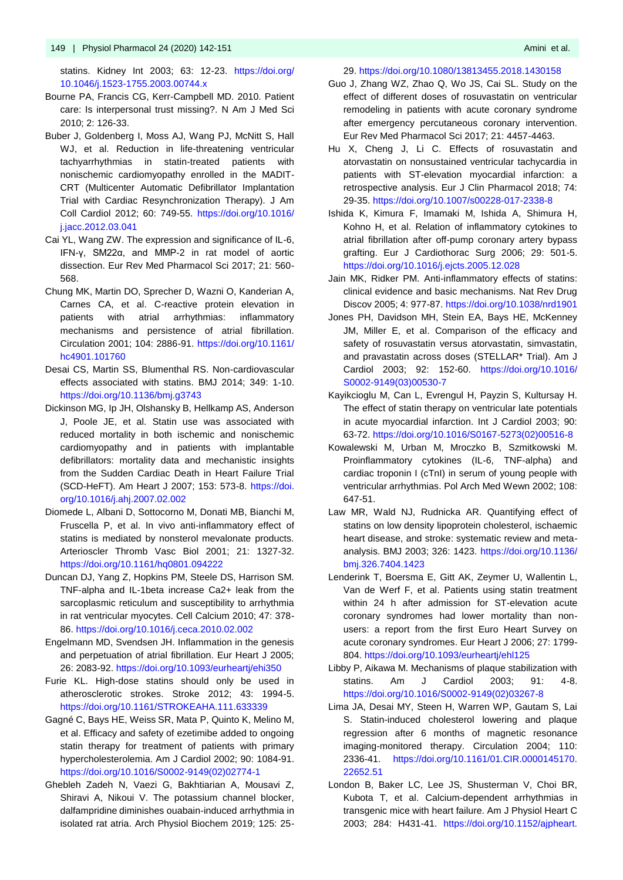statins. Kidney Int 2003; 63: 12-23. [https://doi.org/](https://doi.org/10.1046/j.1523-1755.2003.00744.x) [10.1046/j.1523-1755.2003.00744.x](https://doi.org/10.1046/j.1523-1755.2003.00744.x)

- Bourne PA, Francis CG, Kerr-Campbell MD. 2010. Patient care: Is interpersonal trust missing?. N Am J Med Sci 2010; 2: 126-33.
- Buber J, Goldenberg I, Moss AJ, Wang PJ, McNitt S, Hall WJ, et al. Reduction in life-threatening ventricular tachyarrhythmias in statin-treated patients with nonischemic cardiomyopathy enrolled in the MADIT-CRT (Multicenter Automatic Defibrillator Implantation Trial with Cardiac Resynchronization Therapy). J Am Coll Cardiol 2012; 60: 749-55. [https://doi.org/10.1016/](https://doi.org/10.1016/j.jacc.2012.03.041) [j.jacc.2012.03.041](https://doi.org/10.1016/j.jacc.2012.03.041)
- Cai YL, Wang ZW. The expression and significance of IL-6, IFN-γ, SM22α, and MMP-2 in rat model of aortic dissection. Eur Rev Med Pharmacol Sci 2017; 21: 560- 568.
- Chung MK, Martin DO, Sprecher D, Wazni O, Kanderian A, Carnes CA, et al. C-reactive protein elevation in patients with atrial arrhythmias: inflammatory mechanisms and persistence of atrial fibrillation. Circulation 2001; 104: 2886-91. [https://doi.org/10.1161/](https://doi.org/10.1161/hc4901.101760) [hc4901.101760](https://doi.org/10.1161/hc4901.101760)
- Desai CS, Martin SS, Blumenthal RS. Non-cardiovascular effects associated with statins. BMJ 2014; 349: 1-10. <https://doi.org/10.1136/bmj.g3743>
- Dickinson MG, Ip JH, Olshansky B, Hellkamp AS, Anderson J, Poole JE, et al. Statin use was associated with reduced mortality in both ischemic and nonischemic cardiomyopathy and in patients with implantable defibrillators: mortality data and mechanistic insights from the Sudden Cardiac Death in Heart Failure Trial (SCD-HeFT). Am Heart J 2007; 153: 573-8. [https://doi.](https://doi.org/10.1016/j.ahj.2007.02.002) [org/10.1016/j.ahj.2007.02.002](https://doi.org/10.1016/j.ahj.2007.02.002)
- Diomede L, Albani D, Sottocorno M, Donati MB, Bianchi M, Fruscella P, et al. In vivo anti-inflammatory effect of statins is mediated by nonsterol mevalonate products. Arterioscler Thromb Vasc Biol 2001; 21: 1327-32. <https://doi.org/10.1161/hq0801.094222>
- Duncan DJ, Yang Z, Hopkins PM, Steele DS, Harrison SM. TNF-alpha and IL-1beta increase Ca2+ leak from the sarcoplasmic reticulum and susceptibility to arrhythmia in rat ventricular myocytes. Cell Calcium 2010; 47: 378- 86. <https://doi.org/10.1016/j.ceca.2010.02.002>
- Engelmann MD, Svendsen JH. Inflammation in the genesis and perpetuation of atrial fibrillation. Eur Heart J 2005; 26: 2083-92[. https://doi.org/10.1093/eurheartj/ehi350](https://doi.org/10.1093/eurheartj/ehi350)
- Furie KL. High-dose statins should only be used in atherosclerotic strokes. Stroke 2012; 43: 1994-5. <https://doi.org/10.1161/STROKEAHA.111.633339>
- Gagné C, Bays HE, Weiss SR, Mata P, Quinto K, Melino M, et al. Efficacy and safety of ezetimibe added to ongoing statin therapy for treatment of patients with primary hypercholesterolemia. Am J Cardiol 2002; 90: 1084-91. [https://doi.org/10.1016/S0002-9149\(02\)02774-1](https://doi.org/10.1016/S0002-9149(02)02774-1)
- Ghebleh Zadeh N, Vaezi G, Bakhtiarian A, Mousavi Z, Shiravi A, Nikoui V. The potassium channel blocker, dalfampridine diminishes ouabain-induced arrhythmia in isolated rat atria. Arch Physiol Biochem 2019; 125: 25-

#### 29.<https://doi.org/10.1080/13813455.2018.1430158>

- Guo J, Zhang WZ, Zhao Q, Wo JS, Cai SL. Study on the effect of different doses of rosuvastatin on ventricular remodeling in patients with acute coronary syndrome after emergency percutaneous coronary intervention. Eur Rev Med Pharmacol Sci 2017; 21: 4457-4463.
- Hu X, Cheng J, Li C. Effects of rosuvastatin and atorvastatin on nonsustained ventricular tachycardia in patients with ST-elevation myocardial infarction: a retrospective analysis. Eur J Clin Pharmacol 2018; 74: 29-35.<https://doi.org/10.1007/s00228-017-2338-8>
- Ishida K, Kimura F, Imamaki M, Ishida A, Shimura H, Kohno H, et al. Relation of inflammatory cytokines to atrial fibrillation after off-pump coronary artery bypass grafting. Eur J Cardiothorac Surg 2006; 29: 501-5. <https://doi.org/10.1016/j.ejcts.2005.12.028>
- Jain MK, Ridker PM. Anti-inflammatory effects of statins: clinical evidence and basic mechanisms. Nat Rev Drug Discov 2005; 4: 977-87.<https://doi.org/10.1038/nrd1901>
- Jones PH, Davidson MH, Stein EA, Bays HE, McKenney JM, Miller E, et al. Comparison of the efficacy and safety of rosuvastatin versus atorvastatin, simvastatin, and pravastatin across doses (STELLAR\* Trial). Am J Cardiol 2003; 92: 152-60. [https://doi.org/10.1016/](https://doi.org/10.1016/S0002-9149(03)00530-7) [S0002-9149\(03\)00530-7](https://doi.org/10.1016/S0002-9149(03)00530-7)
- Kayikcioglu M, Can L, Evrengul H, Payzin S, Kultursay H. The effect of statin therapy on ventricular late potentials in acute myocardial infarction. Int J Cardiol 2003; 90: 63-72. [https://doi.org/10.1016/S0167-5273\(02\)00516-8](https://doi.org/10.1016/S0167-5273(02)00516-8)
- Kowalewski M, Urban M, Mroczko B, Szmitkowski M. Proinflammatory cytokines (IL-6, TNF-alpha) and cardiac troponin I (cTnI) in serum of young people with ventricular arrhythmias. Pol Arch Med Wewn 2002; 108: 647-51.
- Law MR, Wald NJ, Rudnicka AR. Quantifying effect of statins on low density lipoprotein cholesterol, ischaemic heart disease, and stroke: systematic review and metaanalysis. BMJ 2003; 326: 1423. [https://doi.org/10.1136/](https://doi.org/10.1136/bmj.326.7404.1423) [bmj.326.7404.1423](https://doi.org/10.1136/bmj.326.7404.1423)
- Lenderink T, Boersma E, Gitt AK, Zeymer U, Wallentin L, Van de Werf F, et al. Patients using statin treatment within 24 h after admission for ST-elevation acute coronary syndromes had lower mortality than nonusers: a report from the first Euro Heart Survey on acute coronary syndromes. Eur Heart J 2006; 27: 1799- 804.<https://doi.org/10.1093/eurheartj/ehl125>
- Libby P, Aikawa M. Mechanisms of plaque stabilization with statins. Am J Cardiol 2003; 91: 4-8. [https://doi.org/10.1016/S0002-9149\(02\)03267-8](https://doi.org/10.1016/S0002-9149(02)03267-8)
- Lima JA, Desai MY, Steen H, Warren WP, Gautam S, Lai S. Statin-induced cholesterol lowering and plaque regression after 6 months of magnetic resonance imaging-monitored therapy. Circulation 2004; 110: 2336-41. [https://doi.org/10.1161/01.CIR.0000145170.](https://doi.org/10.1161/01.CIR.0000145170.22652.51) [22652.51](https://doi.org/10.1161/01.CIR.0000145170.22652.51)
- London B, Baker LC, Lee JS, Shusterman V, Choi BR, Kubota T, et al. Calcium-dependent arrhythmias in transgenic mice with heart failure. Am J Physiol Heart C 2003; 284: H431-41. [https://doi.org/10.1152/ajpheart.](https://doi.org/10.1152/ajpheart.00431.2002)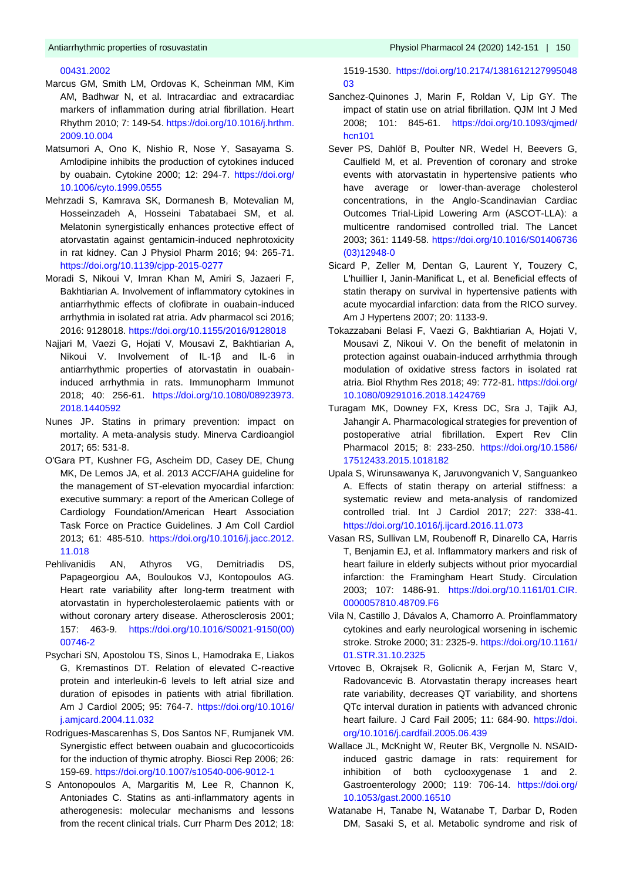#### [00431.2002](https://doi.org/10.1152/ajpheart.00431.2002)

- Marcus GM, Smith LM, Ordovas K, Scheinman MM, Kim AM, Badhwar N, et al. Intracardiac and extracardiac markers of inflammation during atrial fibrillation. Heart Rhythm 2010; 7: 149-54. [https://doi.org/10.1016/j.hrthm.](https://doi.org/10.1016/j.hrthm.2009.10.004) [2009.10.004](https://doi.org/10.1016/j.hrthm.2009.10.004)
- Matsumori A, Ono K, Nishio R, Nose Y, Sasayama S. Amlodipine inhibits the production of cytokines induced by ouabain. Cytokine 2000; 12: 294-7. [https://doi.org/](https://doi.org/10.1006/cyto.1999.0555) [10.1006/cyto.1999.0555](https://doi.org/10.1006/cyto.1999.0555)
- Mehrzadi S, Kamrava SK, Dormanesh B, Motevalian M, Hosseinzadeh A, Hosseini Tabatabaei SM, et al. Melatonin synergistically enhances protective effect of atorvastatin against gentamicin-induced nephrotoxicity in rat kidney. Can J Physiol Pharm 2016; 94: 265-71. <https://doi.org/10.1139/cjpp-2015-0277>
- Moradi S, Nikoui V, Imran Khan M, Amiri S, Jazaeri F, Bakhtiarian A. Involvement of inflammatory cytokines in antiarrhythmic effects of clofibrate in ouabain-induced arrhythmia in isolated rat atria. Adv pharmacol sci 2016; 2016: 9128018[. https://doi.org/10.1155/2016/9128018](https://doi.org/10.1155/2016/9128018)
- Najjari M, Vaezi G, Hojati V, Mousavi Z, Bakhtiarian A, Nikoui V. Involvement of IL-1β and IL-6 in antiarrhythmic properties of atorvastatin in ouabaininduced arrhythmia in rats. Immunopharm Immunot 2018; 40: 256-61. [https://doi.org/10.1080/08923973.](https://doi.org/10.1080/08923973.2018.1440592) [2018.1440592](https://doi.org/10.1080/08923973.2018.1440592)
- Nunes JP. Statins in primary prevention: impact on mortality. A meta-analysis study. Minerva Cardioangiol 2017; 65: 531-8.
- O'Gara PT, Kushner FG, Ascheim DD, Casey DE, Chung MK, De Lemos JA, et al. 2013 ACCF/AHA guideline for the management of ST-elevation myocardial infarction: executive summary: a report of the American College of Cardiology Foundation/American Heart Association Task Force on Practice Guidelines. J Am Coll Cardiol 2013; 61: 485-510. [https://doi.org/10.1016/j.jacc.2012.](https://doi.org/10.1016/j.jacc.2012.11.018) [11.018](https://doi.org/10.1016/j.jacc.2012.11.018)
- Pehlivanidis AN, Athyros VG, Demitriadis DS, Papageorgiou AA, Bouloukos VJ, Kontopoulos AG. Heart rate variability after long-term treatment with atorvastatin in hypercholesterolaemic patients with or without coronary artery disease. Atherosclerosis 2001; 157: 463-9. [https://doi.org/10.1016/S0021-9150\(00\)](https://doi.org/10.1016/S0021-9150(00)00746-2) [00746-2](https://doi.org/10.1016/S0021-9150(00)00746-2)
- Psychari SN, Apostolou TS, Sinos L, Hamodraka E, Liakos G, Kremastinos DT. Relation of elevated C-reactive protein and interleukin-6 levels to left atrial size and duration of episodes in patients with atrial fibrillation. Am J Cardiol 2005; 95: 764-7. [https://doi.org/10.1016/](https://doi.org/10.1016/j.amjcard.2004.11.032) [j.amjcard.2004.11.032](https://doi.org/10.1016/j.amjcard.2004.11.032)
- Rodrigues-Mascarenhas S, Dos Santos NF, Rumjanek VM. Synergistic effect between ouabain and glucocorticoids for the induction of thymic atrophy. Biosci Rep 2006; 26: 159-69[. https://doi.org/10.1007/s10540-006-9012-1](https://doi.org/10.1007/s10540-006-9012-1)
- S Antonopoulos A, Margaritis M, Lee R, Channon K, Antoniades C. Statins as anti-inflammatory agents in atherogenesis: molecular mechanisms and lessons from the recent clinical trials. Curr Pharm Des 2012; 18:

1519-1530. [https://doi.org/10.2174/1381612127995048](https://doi.org/10.2174/138161212799504803) [03](https://doi.org/10.2174/138161212799504803)

- Sanchez-Quinones J, Marin F, Roldan V, Lip GY. The impact of statin use on atrial fibrillation. QJM Int J Med 2008; 101: 845-61. [https://doi.org/10.1093/qjmed/](https://doi.org/10.1093/qjmed/hcn101) [hcn101](https://doi.org/10.1093/qjmed/hcn101)
- Sever PS, Dahlöf B, Poulter NR, Wedel H, Beevers G, Caulfield M, et al. Prevention of coronary and stroke events with atorvastatin in hypertensive patients who have average or lower-than-average cholesterol concentrations, in the Anglo-Scandinavian Cardiac Outcomes Trial-Lipid Lowering Arm (ASCOT-LLA): a multicentre randomised controlled trial. The Lancet 2003; 361: 1149-58. [https://doi.org/10.1016/S01406736](https://doi.org/10.1016/S01406736(03)12948-0) [\(03\)12948-0](https://doi.org/10.1016/S01406736(03)12948-0)
- Sicard P, Zeller M, Dentan G, Laurent Y, Touzery C, L'huillier I, Janin-Manificat L, et al. Beneficial effects of statin therapy on survival in hypertensive patients with acute myocardial infarction: data from the RICO survey. Am J Hypertens 2007; 20: 1133-9.
- Tokazzabani Belasi F, Vaezi G, Bakhtiarian A, Hojati V, Mousavi Z, Nikoui V. On the benefit of melatonin in protection against ouabain-induced arrhythmia through modulation of oxidative stress factors in isolated rat atria. Biol Rhythm Res 2018; 49: 772-81. [https://doi.org/](https://doi.org/10.1080/09291016.2018.1424769) [10.1080/09291016.2018.1424769](https://doi.org/10.1080/09291016.2018.1424769)
- Turagam MK, Downey FX, Kress DC, Sra J, Tajik AJ, Jahangir A. Pharmacological strategies for prevention of postoperative atrial fibrillation. Expert Rev Clin Pharmacol 2015; 8: 233-250. [https://doi.org/10.1586/](https://doi.org/10.1586/17512433.2015.1018182) [17512433.2015.1018182](https://doi.org/10.1586/17512433.2015.1018182)
- Upala S, Wirunsawanya K, Jaruvongvanich V, Sanguankeo A. Effects of statin therapy on arterial stiffness: a systematic review and meta-analysis of randomized controlled trial. Int J Cardiol 2017; 227: 338-41. <https://doi.org/10.1016/j.ijcard.2016.11.073>
- Vasan RS, Sullivan LM, Roubenoff R, Dinarello CA, Harris T, Benjamin EJ, et al. Inflammatory markers and risk of heart failure in elderly subjects without prior myocardial infarction: the Framingham Heart Study. Circulation 2003; 107: 1486-91. [https://doi.org/10.1161/01.CIR.](https://doi.org/10.1161/01.CIR.0000057810.48709.F6) [0000057810.48709.F6](https://doi.org/10.1161/01.CIR.0000057810.48709.F6)
- Vila N, Castillo J, Dávalos A, Chamorro A. Proinflammatory cytokines and early neurological worsening in ischemic stroke. Stroke 2000; 31: 2325-9. [https://doi.org/10.1161/](https://doi.org/10.1161/01.STR.31.10.2325) [01.STR.31.10.2325](https://doi.org/10.1161/01.STR.31.10.2325)
- Vrtovec B, Okrajsek R, Golicnik A, Ferjan M, Starc V, Radovancevic B. Atorvastatin therapy increases heart rate variability, decreases QT variability, and shortens QTc interval duration in patients with advanced chronic heart failure. J Card Fail 2005; 11: 684-90. [https://doi.](https://doi.org/10.1016/j.cardfail.2005.06.439) [org/10.1016/j.cardfail.2005.06.439](https://doi.org/10.1016/j.cardfail.2005.06.439)
- Wallace JL, McKnight W, Reuter BK, Vergnolle N. NSAIDinduced gastric damage in rats: requirement for inhibition of both cyclooxygenase 1 and 2. Gastroenterology 2000; 119: 706-14. [https://doi.org/](https://doi.org/10.1053/gast.2000.16510) [10.1053/gast.2000.16510](https://doi.org/10.1053/gast.2000.16510)
- Watanabe H, Tanabe N, Watanabe T, Darbar D, Roden DM, Sasaki S, et al. Metabolic syndrome and risk of